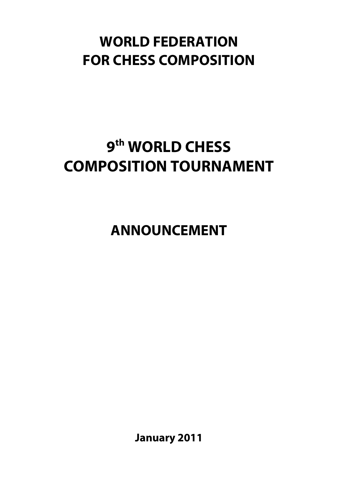## **WORLD FEDERATION FOR CHESS COMPOSITION**

# **9th WORLD CHESS COMPOSITION TOURNAMENT**

**ANNOUNCEMENT**

**January 2011**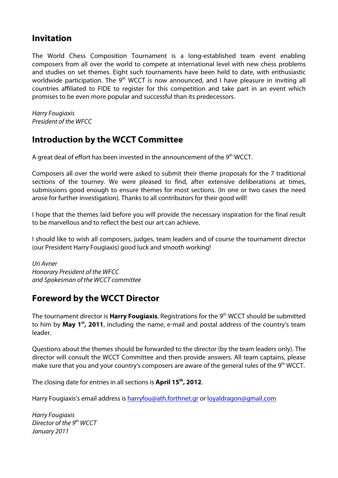### **Invitation**

The World Chess Composition Tournament is a long-established team event enabling composers from all over the world to compete at international level with new chess problems and studies on set themes. Eight such tournaments have been held to date, with enthusiastic worldwide participation. The  $9<sup>th</sup>$  WCCT is now announced, and I have pleasure in inviting all countries affiliated to FIDE to register for this competition and take part in an event which promises to be even more popular and successful than its predecessors.

*Harry Fougiaxis President of the WFCC* 

## **Introduction by the WCCT Committee**

A great deal of effort has been invested in the announcement of the 9<sup>th</sup> WCCT.

Composers all over the world were asked to submit their theme proposals for the 7 traditional sections of the tourney. We were pleased to find, after extensive deliberations at times, submissions good enough to ensure themes for most sections. (In one or two cases the need arose for further investigation). Thanks to all contributors for their good will!

I hope that the themes laid before you will provide the necessary inspiration for the final result to be marvellous and to reflect the best our art can achieve.

I should like to wish all composers, judges, team leaders and of course the tournament director (our President Harry Fougiaxis) good luck and smooth working!

*Uri Avner Honorary President of the WFCC and Spokesman of the WCCT committee*

## **Foreword by the WCCT Director**

The tournament director is **Harry Fougiaxis**. Registrations for the 9th WCCT should be submitted to him by **May 1st, 2011**, including the name, e-mail and postal address of the country's team leader.

Questions about the themes should be forwarded to the director (by the team leaders only). The director will consult the WCCT Committee and then provide answers. All team captains, please make sure that you and your country's composers are aware of the [general rules](http://www.saunalahti.fi/~stniekat/pccc/8rules.htm) of the 9<sup>th</sup> WCCT.

The closing date for entries in all sections is **April 15th, 2012**.

Harry Fougiaxis's email address is [harryfou@ath.forthnet.gr](mailto:harryfou@ath.forthnet.gr) or [loyaldragon@gmail.com](mailto:loyaldragon@gmail.com)

*Harry Fougiaxis Director of the 9th WCCT January 2011*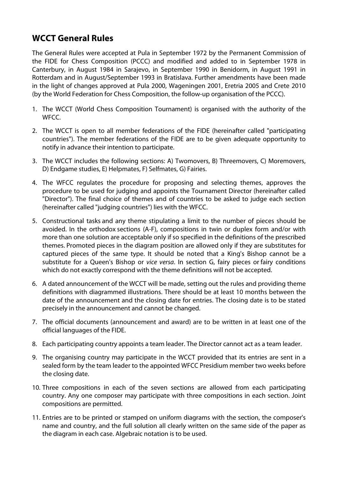## **WCCT General Rules**

The General Rules were accepted at Pula in September 1972 by the Permanent Commission of the FIDE for Chess Composition (PCCC) and modified and added to in September 1978 in Canterbury, in August 1984 in Sarajevo, in September 1990 in Benidorm, in August 1991 in Rotterdam and in August/September 1993 in Bratislava. Further amendments have been made in the light of changes approved at Pula 2000, Wageningen 2001, Eretria 2005 and Crete 2010 (by the World Federation for Chess Composition, the follow-up organisation of the PCCC).

- 1. The WCCT (World Chess Composition Tournament) is organised with the authority of the WFCC.
- 2. The WCCT is open to all member federations of the FIDE (hereinafter called "participating countries"). The member federations of the FIDE are to be given adequate opportunity to notify in advance their intention to participate.
- 3. The WCCT includes the following sections: A) Twomovers, B) Threemovers, C) Moremovers, D) Endgame studies, E) Helpmates, F) Selfmates, G) Fairies.
- 4. The WFCC regulates the procedure for proposing and selecting themes, approves the procedure to be used for judging and appoints the Tournament Director (hereinafter called "Director"). The final choice of themes and of countries to be asked to judge each section (hereinafter called "judging countries") lies with the WFCC.
- 5. Constructional tasks and any theme stipulating a limit to the number of pieces should be avoided. In the orthodox sections (A-F), compositions in twin or duplex form and/or with more than one solution are acceptable only if so specified in the definitions of the prescribed themes. Promoted pieces in the diagram position are allowed only if they are substitutes for captured pieces of the same type. It should be noted that a King's Bishop cannot be a substitute for a Queen's Bishop or *vice versa*. In section G, fairy pieces or fairy conditions which do not exactly correspond with the theme definitions will not be accepted.
- 6. A dated announcement of the WCCT will be made, setting out the rules and providing theme definitions with diagrammed illustrations. There should be at least 10 months between the date of the announcement and the closing date for entries. The closing date is to be stated precisely in the announcement and cannot be changed.
- 7. The official documents (announcement and award) are to be written in at least one of the official languages of the FIDE.
- 8. Each participating country appoints a team leader. The Director cannot act as a team leader.
- 9. The organising country may participate in the WCCT provided that its entries are sent in a sealed form by the team leader to the appointed WFCC Presidium member two weeks before the closing date.
- 10. Three compositions in each of the seven sections are allowed from each participating country. Any one composer may participate with three compositions in each section. Joint compositions are permitted.
- 11. Entries are to be printed or stamped on uniform diagrams with the section, the composer's name and country, and the full solution all clearly written on the same side of the paper as the diagram in each case. Algebraic notation is to be used.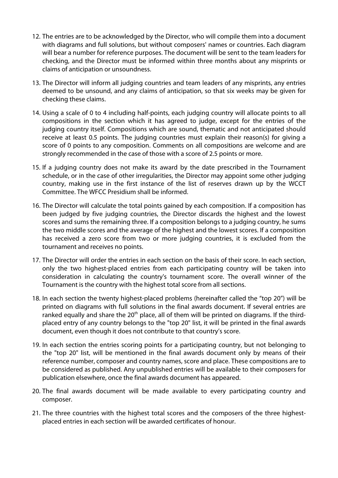- 12. The entries are to be acknowledged by the Director, who will compile them into a document with diagrams and full solutions, but without composers' names or countries. Each diagram will bear a number for reference purposes. The document will be sent to the team leaders for checking, and the Director must be informed within three months about any misprints or claims of anticipation or unsoundness.
- 13. The Director will inform all judging countries and team leaders of any misprints, any entries deemed to be unsound, and any claims of anticipation, so that six weeks may be given for checking these claims.
- 14. Using a scale of 0 to 4 including half-points, each judging country will allocate points to all compositions in the section which it has agreed to judge, except for the entries of the judging country itself. Compositions which are sound, thematic and not anticipated should receive at least 0.5 points. The judging countries must explain their reason(s) for giving a score of 0 points to any composition. Comments on all compositions are welcome and are strongly recommended in the case of those with a score of 2.5 points or more.
- 15. If a judging country does not make its award by the date prescribed in the Tournament schedule, or in the case of other irregularities, the Director may appoint some other judging country, making use in the first instance of the list of reserves drawn up by the WCCT Committee. The WFCC Presidium shall be informed.
- 16. The Director will calculate the total points gained by each composition. If a composition has been judged by five judging countries, the Director discards the highest and the lowest scores and sums the remaining three. If a composition belongs to a judging country, he sums the two middle scores and the average of the highest and the lowest scores. If a composition has received a zero score from two or more judging countries, it is excluded from the tournament and receives no points.
- 17. The Director will order the entries in each section on the basis of their score. In each section, only the two highest-placed entries from each participating country will be taken into consideration in calculating the country's tournament score. The overall winner of the Tournament is the country with the highest total score from all sections.
- 18. In each section the twenty highest-placed problems (hereinafter called the "top 20") will be printed on diagrams with full solutions in the final awards document. If several entries are ranked equally and share the  $20<sup>th</sup>$  place, all of them will be printed on diagrams. If the thirdplaced entry of any country belongs to the "top 20" list, it will be printed in the final awards document, even though it does not contribute to that country's score.
- 19. In each section the entries scoring points for a participating country, but not belonging to the "top 20" list, will be mentioned in the final awards document only by means of their reference number, composer and country names, score and place. These compositions are to be considered as published. Any unpublished entries will be available to their composers for publication elsewhere, once the final awards document has appeared.
- 20. The final awards document will be made available to every participating country and composer.
- 21. The three countries with the highest total scores and the composers of the three highestplaced entries in each section will be awarded certificates of honour.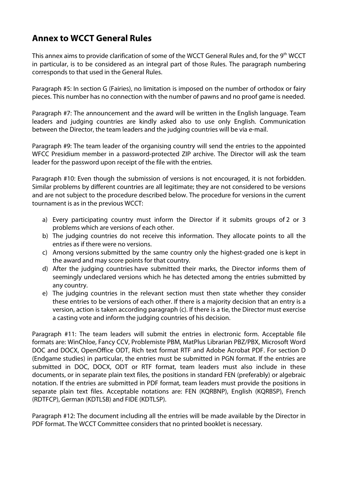## **Annex to WCCT General Rules**

This annex aims to provide clarification of some of the WCCT General Rules and, for the 9<sup>th</sup> WCCT in particular, is to be considered as an integral part of those Rules. The paragraph numbering corresponds to that used in the General Rules.

Paragraph #5: In section G (Fairies), no limitation is imposed on the number of orthodox or fairy pieces. This number has no connection with the number of pawns and no proof game is needed.

Paragraph #7: The announcement and the award will be written in the English language. Team leaders and judging countries are kindly asked also to use only English. Communication between the Director, the team leaders and the judging countries will be via e-mail.

Paragraph #9: The team leader of the organising country will send the entries to the appointed WFCC Presidium member in a password-protected ZIP archive. The Director will ask the team leader for the password upon receipt of the file with the entries.

Paragraph #10: Even though the submission of versions is not encouraged, it is not forbidden. Similar problems by different countries are all legitimate; they are not considered to be versions and are not subject to the procedure described below. The procedure for versions in the current tournament is as in the previous WCCT:

- a) Every participating country must inform the Director if it submits groups of 2 or 3 problems which are versions of each other.
- b) The judging countries do not receive this information. They allocate points to all the entries as if there were no versions.
- c) Among versions submitted by the same country only the highest-graded one is kept in the award and may score points for that country.
- d) After the judging countries have submitted their marks, the Director informs them of seemingly undeclared versions which he has detected among the entries submitted by any country.
- e) The judging countries in the relevant section must then state whether they consider these entries to be versions of each other. If there is a majority decision that an entry is a version, action is taken according paragraph (c). If there is a tie, the Director must exercise a casting vote and inform the judging countries of his decision.

Paragraph #11: The team leaders will submit the entries in electronic form. Acceptable file formats are: WinChloe, Fancy CCV, Problemiste PBM, MatPlus Librarian PBZ/PBX, Microsoft Word DOC and DOCX, OpenOffice ODT, Rich text format RTF and Adobe Acrobat PDF. For section D (Endgame studies) in particular, the entries must be submitted in PGN format. If the entries are submitted in DOC, DOCX, ODT or RTF format, team leaders must also include in these documents, or in separate plain text files, the positions in standard FEN (preferably) or algebraic notation. If the entries are submitted in PDF format, team leaders must provide the positions in separate plain text files. Acceptable notations are: FEN (KQRBNP), English (KQRBSP), French (RDTFCP), German (KDTLSB) and FIDE (KDTLSP).

Paragraph #12: The document including all the entries will be made available by the Director in PDF format. The WCCT Committee considers that no printed booklet is necessary.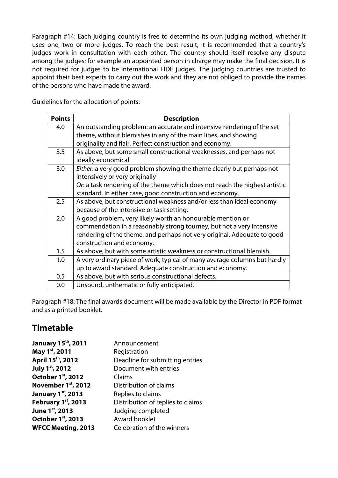Paragraph #14: Each judging country is free to determine its own judging method, whether it uses one, two or more judges. To reach the best result, it is recommended that a country's judges work in consultation with each other. The country should itself resolve any dispute among the judges; for example an appointed person in charge may make the final decision. It is not required for judges to be international FIDE judges. The judging countries are trusted to appoint their best experts to carry out the work and they are not obliged to provide the names of the persons who have made the award.

Guidelines for the allocation of points:

| <b>Points</b> | <b>Description</b>                                                          |
|---------------|-----------------------------------------------------------------------------|
| 4.0           | An outstanding problem: an accurate and intensive rendering of the set      |
|               | theme, without blemishes in any of the main lines, and showing              |
|               | originality and flair. Perfect construction and economy.                    |
| 3.5           | As above, but some small constructional weaknesses, and perhaps not         |
|               | ideally economical.                                                         |
| 3.0           | Either: a very good problem showing the theme clearly but perhaps not       |
|               | intensively or very originally                                              |
|               | Or: a task rendering of the theme which does not reach the highest artistic |
|               | standard. In either case, good construction and economy.                    |
| 2.5           | As above, but constructional weakness and/or less than ideal economy        |
|               | because of the intensive or task setting.                                   |
| 2.0           | A good problem, very likely worth an honourable mention or                  |
|               | commendation in a reasonably strong tourney, but not a very intensive       |
|               | rendering of the theme, and perhaps not very original. Adequate to good     |
|               | construction and economy.                                                   |
| 1.5           | As above, but with some artistic weakness or constructional blemish.        |
| 1.0           | A very ordinary piece of work, typical of many average columns but hardly   |
|               | up to award standard. Adequate construction and economy.                    |
| 0.5           | As above, but with serious constructional defects.                          |
| 0.0           | Unsound, unthematic or fully anticipated.                                   |

Paragraph #18: The final awards document will be made available by the Director in PDF format and as a printed booklet.

## **Timetable**

| January 15 <sup>th</sup> , 2011 | Announcement                      |
|---------------------------------|-----------------------------------|
| May 1st, 2011                   | Registration                      |
| April 15 <sup>th</sup> , 2012   | Deadline for submitting entries   |
| July 1st, 2012                  | Document with entries             |
| October 1st, 2012               | Claims                            |
| November 1st, 2012              | Distribution of claims            |
| <b>January 1st, 2013</b>        | Replies to claims                 |
| February 1st, 2013              | Distribution of replies to claims |
| June 1st, 2013                  | Judging completed                 |
| October 1st, 2013               | Award booklet                     |
| <b>WFCC Meeting, 2013</b>       | Celebration of the winners        |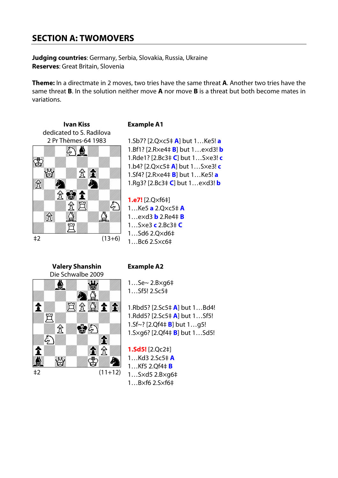## **SECTION A: TWOMOVERS**

**Judging countries**: Germany, Serbia, Slovakia, Russia, Ukraine **Reserves**: Great Britain, Slovenia

**Theme:** In a directmate in 2 moves, two tries have the same threat **A**. Another two tries have the same threat **B**. In the solution neither move **A** nor move **B** is a threat but both become mates in variations.



#### **Example A1**

1.Sb7? [2.Q×c5‡ **A**] but 1…Ke5! **a** 1.Bf1? [2.R×e4‡ **B**] but 1…e×d3! **b** 1.Rde1? [2.Bc3‡ **C**] but 1…S×e3! **c** 1.b4? [2.Q×c5‡ **A**] but 1…S×e3! **c** 1.Sf4? [2.R×e4‡ **B**] but 1…Ke5! **a** 1.Rg3? [2.Bc3‡ **C**] but 1…e×d3! **b**

**1.e7!** [2.Q×f6‡] 1…Ke5 **a** 2.Q×c5‡ **A** 1…e×d3 **b** 2.Re4‡ **B** 1…S×e3 **c** 2.Bc3‡ **C** 1…Sd6 2.Q×d6‡

**Valery Shanshin** Die Schwalbe 2009 ₿ G  $E$   $E$   $\Omega$   $I$   $E$  $\hat{\mathbf{r}}$ 買 鲁分  $\mathcal{\mathcal{\hat{X}}}$  $\langle \zeta \rangle$ en de la familie de la familie de la familie de la familie de la familie de la familie de la familie de la fam<br>La familie de la familie de la familie de la familie de la familie de la familie de la familie de la familie d 食分 1 W,  $\bigcirc \hspace{-3.08cm}$ Ą ‡2 (11+12)

#### **Example A2**

1…Se~ 2.B×g6‡ 1…Sf5! 2.Sc5‡

1.Rbd5? [2.Sc5‡ **A**] but 1…Bd4! 1.Rdd5? [2.Sc5‡ **A**] but 1…Sf5! 1.Sf~? [2.Qf4‡ **B**] but 1…g5! 1.S×g6? [2.Qf4‡ **B**] but 1…Sd5!

**1.Sd5!** [2.Qc2‡] 1…Kd3 2.Sc5‡ **A** 1…Kf5 2.Qf4‡ **B** 1…S×d5 2.B×g6‡ 1…B×f6 2.S×f6‡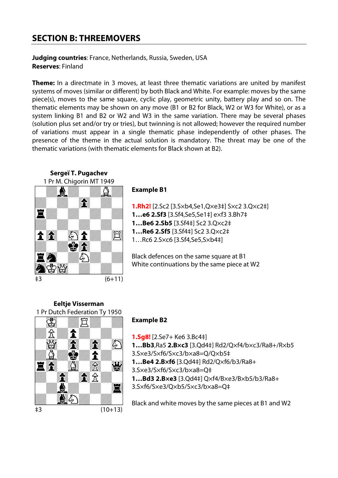## **SECTION B: THREEMOVERS**

**Judging countries**: France, Netherlands, Russia, Sweden, USA **Reserves**: Finland

**Theme:** In a directmate in 3 moves, at least three thematic variations are united by manifest systems of moves (similar or different) by both Black and White. For example: moves by the same piece(s), moves to the same square, cyclic play, geometric unity, battery play and so on. The thematic elements may be shown on any move (B1 or B2 for Black, W2 or W3 for White), or as a system linking B1 and B2 or W2 and W3 in the same variation. There may be several phases (solution plus set and/or try or tries), but twinning is not allowed; however the required number of variations must appear in а single thematic phase independently of other phases. The presence of the theme in the actual solution is mandatory. The threat may be one of the thematic variations (with thematic elements for Black shown at B2).



#### **Example B1**

**1.Rh2!** [2.Sc2 [3.S×b4,Se1,Q×e3‡] S×c2 3.Q×c2‡] **1…e6 2.Sf3** [3.Sf4,Se5,Se1‡] e×f3 3.Bh7‡ **1…Be6 2.Sb5** [3.Sf4‡] Sc2 3.Q×c2‡ **1…Re6 2.Sf5** [3.Sf4‡] Sc2 3.Q×c2‡ 1…Rc6 2.S×c6 [3.Sf4,Se5,S×b4‡]

Black defences on the same square at B1 White continuations by the same piece at W2

**Eeltje Visserman** 1 Pr Dutch Federation Ty 1950



### **Example B2**

**1.Sg8!** [2.Se7+ Ke6 3.Bc4‡]

**1…Bb3**,Ra5 **2.B×c3** [3.Qd4‡] Rd2/Q×f4/b×c3/Ra8+/R×b5

- 3.S×e3/S×f6/S×c3/b×a8=Q/Q×b5‡
- **1…Be4 2.B×f6** [3.Qd4‡] Rd2/Q×f6/b3/Ra8+
- 3.S×e3/S×f6/S×c3/b×a8=Q‡

**1…Bd3 2.B×e3** [3.Qd4‡] Q×f4/B×e3/B×b5/b3/Ra8+ 3.S×f6/S×e3/Q×b5/S×c3/b×a8=Q‡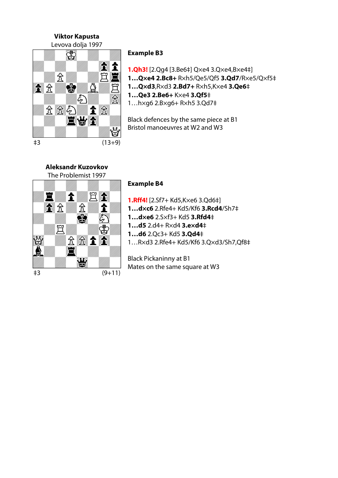**Viktor Kapusta**



#### **Example B3**

**1.Qh3!** [2.Qg4 [3.Be6‡] Q×e4 3.Q×e4,B×e4‡] **1…Q×e4 2.Bc8+** R×h5/Qe5/Qf5 **3.Qd7**/R×e5/Q×f5‡ **1…Q×d3**,R×d3 **2.Bd7+** R×h5,K×e4 **3.Qe6**‡ **1…Qe3 2.Be6+** K×e4 **3.Qf5**‡ 1…h×g6 2.B×g6+ R×h5 3.Qd7‡

Black defences by the same piece at B1 Bristol manoeuvres at W2 and W3

#### **Aleksandr Kuzovkov** The Problemist 1997



#### **Example B4**

**1.Rff4!** [2.Sf7+ Kd5,K×e6 3.Qd6‡] **1…d×c6** 2.Rfe4+ Kd5/Kf6 **3.Rcd4**/Sh7‡ **1…d×e6** 2.S×f3+ Kd5 **3.Rfd4**‡ **1…d5** 2.d4+ R×d4 **3.e×d4**‡

- **1…d6** 2.Qc3+ Kd5 **3.Qd4**‡
- 1…R×d3 2.Rfe4+ Kd5/Kf6 3.Q×d3/Sh7,Qf8‡

Black Pickaninny at B1 Mates on the same square at W3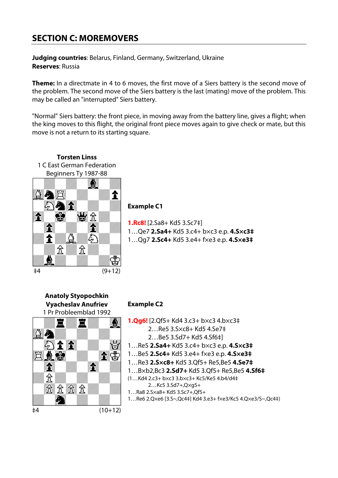## **SECTION C: MOREMOVERS**

**Judging countries**: Belarus, Finland, Germany, Switzerland, Ukraine **Reserves**: Russia

**Theme:** In a directmate in 4 to 6 moves, the first move of a Siers battery is the second move of the problem. The second move of the Siers battery is the last (mating) move of the problem. This may be called an "interrupted" Siers battery.

"Normal" Siers battery: the front piece, in moving away from the battery line, gives a flight; when the king moves to this flight, the original front piece moves again to give check or mate, but this move is not a return to its starting square.



**Torsten Linss**

#### **Example C1**

**1.Rc8!** [2.Sa8+ Kd5 3.Sc7‡] 1…Qe7 **2.Sa4+** Kd5 3.c4+ b×c3 e.p. **4.S×c3‡** 1…Qg7 **2.Sc4+** Kd5 3.e4+ f×e3 e.p. **4.S×e3‡**



#### **Example C2**

- **1.Qg6!** [2.Qf5+ Kd4 3.c3+ b×c3 4.b×c3‡ 2…Re5 3.S×c8+ Kd5 4.Se7‡
	- 2…Be5 3.Sd7+ Kd5 4.Sf6‡]
- 1…Re5 **2.Sa4+** Kd5 3.c4+ b×c3 e.p. **4.S×c3‡**
- 1…Be5 **2.Sc4+** Kd5 3.e4+ f×e3 e.p. **4.S×e3‡**
- 1…Re3 **2.S×c8+** Kd5 3.Qf5+ Re5,Be5 **4.Se7‡**
- 1…B×b2,Bc3 **2.Sd7+** Kd5 3.Qf5+ Re5,Be5 **4.Sf6‡**
- (1…Kd4 2.c3+ b×c3 3.b×c3+ Kc5/Ke5 4.b4/d4‡ 2…Kc5 3.Sd7+,Q×g5+
- 1…Ra8 2.S×a8+ Kd5 3.Sc7+,Qf5+
- 1…Re6 2.Q×e6 [3.S~,Qc4‡] Kd4 3.e3+ f×e3/Kc5 4.Q×e3/S~,Qc4‡)

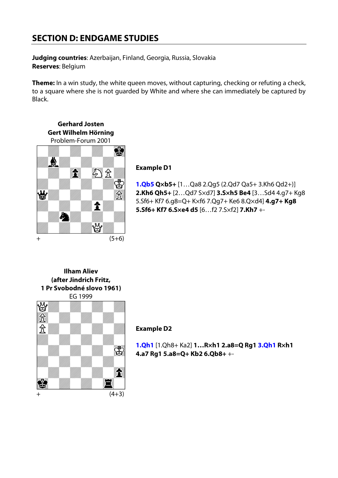## **SECTION D: ENDGAME STUDIES**

**Judging countries**: Azerbaijan, Finland, Georgia, Russia, Slovakia **Reserves**: Belgium

**Theme:** In a win study, the white queen moves, without capturing, checking or refuting a check, to a square where she is not guarded by White and where she can immediately be captured by Black.

**Gerhard Josten Gert Wilhelm Hörning** Problem-Forum 2001



#### **Example D1**

**1.Qb5 Q×b5+** [1…Qa8 2.Qg5 (2.Qd7 Qa5+ 3.Kh6 Qd2+)] **2.Kh6 Qh5+** [2…Qd7 S×d7] **3.S×h5 Be4** [3…Sd4 4.g7+ Kg8 5.Sf6+ Kf7 6.g8=Q+ K×f6 7.Qg7+ Ke6 8.Q×d4] **4.g7+ Kg8 5.Sf6+ Kf7 6.S×e4 d5** [6…f2 7.S×f2] **7.Kh7** +-

**Ilham Aliev (after Jindrich Fritz, 1 Pr Svobodné slovo 1961)** EG 1999



#### **Example D2**

**1.Qh1** [1.Qh8+ Ka2] **1…R×h1 2.a8=Q Rg1 3.Qh1 R×h1 4.a7 Rg1 5.a8=Q+ Kb2 6.Qb8+** +-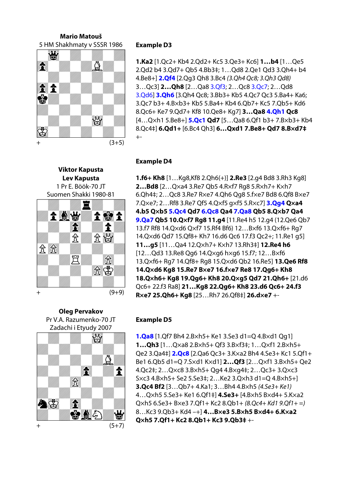#### **Mario Matouš** 5 HM Shakhmaty v SSSR 1986 **Example D3**



**Viktor Kapusta Lev Kapusta** 1 Pr E. Böök-70 JT Suomen Shakki 1980-81



**1.Ka2** [1.Qc2+ Kb4 2.Qd2+ Kc5 3.Qe3+ Kc6] **1…b4** [1…Qe5 2.Qd2 b4 3.Qd7+ Qb5 4.Bb3‡; 1…Qd8 2.Qe1 Qd3 3.Qh4+ b4 4.Be8+] **2.Qf4** [2.Qg3 Qh8 3.Bc4 *(3.Qh4 Qc8; 3.Qh3 Qd8)*  3…Qc3] **2…Qh8** [2…Qa8 3.Qf3; 2…Qc8 3.Qc7; 2…Qd8 3.Qd6] **3.Qh6** [3.Qh4 Qc8; 3.Bb3+ Kb5 4.Qc7 Qc3 5.Ba4+ Ka6; 3.Qc7 b3+ 4.B×b3+ Kb5 5.Ba4+ Kb4 6.Qb7+ Kc5 7.Qb5+ Kd6 8.Qc6+ Ke7 9.Qd7+ Kf8 10.Qe8+ Kg7] **3…Qa8 4.Qh1 Qc8**  [4…Q×h1 5.Be8+] **5.Qc1 Qd7** [5…Qa8 6.Qf1 b3+ 7.B×b3+ Kb4 8.Qc4‡] **6.Qd1+** [6.Bc4 Qh3] **6…Qxd1 7.Be8+ Qd7 8.B×d7‡**

#### **Example D4**

**1.f6+ Kh8** [1…Kg8,Kf8 2.Qh6(+)] **2.Re3** [2.g4 Bd8 3.Rh3 Kg8] **2…Bd8** [2…Q×a4 3.Re7 Qb5 4.R×f7 Rg8 5.R×h7+ K×h7 6.Qh4‡; 2…Qc8 3.Re7 R×e7 4.Qh6 Qg8 5.f×e7 Bd8 6.Qf8 B×e7 7.Q×e7; 2…Rf8 3.Re7 Qf5 4.Q×f5 g×f5 5.R×c7] **3.Qg4 Q×a4 4.b5 Q×b5 5.Qc4 Qd7 6.Qc8 Qa4 7.Qa8 Qb5 8.Q×b7 Qa4 9.Qa7 Qb5 10.Q×f7 Rg8 11.g4** [11.Re4 h5 12.g4 (12.Qe6 Qb7 13.f7 Rf8 14.Q×d6 Q×f7 15.Rf4 Bf6) 12…B×f6 13.Q×f6+ Rg7 14.Q×d6 Qd7 15.Qf8+ Kh7 16.d6 Qc6 17.f3 Qc2+; 11.Re1 g5] **11…g5** [11…Qa4 12.Q×h7+ K×h7 13.Rh3‡] **12.Re4 h6**  [12…Qd3 13.Re8 Qg6 14.Q×g6 h×g6 15.f7; 12…B×f6 13.Q×f6+ Rg7 14.Qf8+ Rg8 15.Q×d6 Qb2 16.Re5] **13.Qe6 Rf8 14.Q×d6 Kg8 15.Re7 B×e7 16.f×e7 Re8 17.Qg6+ Kh8 18.Q×h6+ Kg8 19.Qg6+ Kh8 20.Q×g5 Qd7 21.Qh6+** [21.d6 Qc6+ 22.f3 Ra8] **21…Kg8 22.Qg6+ Kh8 23.d6 Qc6+ 24.f3 R×e7 25.Qh6+ Kg8** [25…Rh7 26.Qf8‡] **26.d×e7** +- + (9+9)

**Oleg Pervakov** Pr V.A. Razumenko-70 JT Zadachi i Etyudy 2007



#### **Example D5**

**1.Qa8** [1.Qf7 Bh4 2.B×h5+ Ke1 3.Se3 d1=Q 4.B×d1 Qg1] **1…Qh3** [1…Q×a8 2.B×h5+ Qf3 3.B×f3‡; 1…Q×f1 2.B×h5+ Qe2 3.Qa4‡] **2.Qc8** [2.Qa6 Qc3+ 3.K×a2 Bh4 4.Se3+ Kc1 5.Qf1+ Be1 6.Qb5 d1=Q 7.S×d1 K×d1] **2…Qf3** [2…Q×f1 3.B×h5+ Qe2 4.Qc2‡; 2…Q×c8 3.B×h5+ Qg4 4.B×g4‡; 2…Qc3+ 3.Q×c3 S×c3 4.B×h5+ Se2 5.Se3‡; 2…Ke2 3.Q×h3 d1=Q 4.B×h5+] **3.Qc4 Bf2** [3…Qb7+ 4.Ka1; 3…Bh4 4.B×h5 *(4.Se3+ Ke1)*  4…Q×h5 5.Se3+ Ke1 6.Qf1‡] **4.Se3+** [4.B×h5 B×d4+ 5.K×a2 Q×h5 6.Se3+ B×e3 7.Qf1+ Kc2 8.Qb1+ *(8.Qc4+ Kd1 9.Qf1+ =)*  8…Kc3 9.Qb3+ Kd4 –+] **4…B×e3 5.B×h5 B×d4+ 6.K×a2 Qxh5 7.Qf1+ Kc2 8.Qb1+ Kc3 9.Qb3± Kc3 9.Qb3**<br>+ + (5+7)<br>+ + (5+7)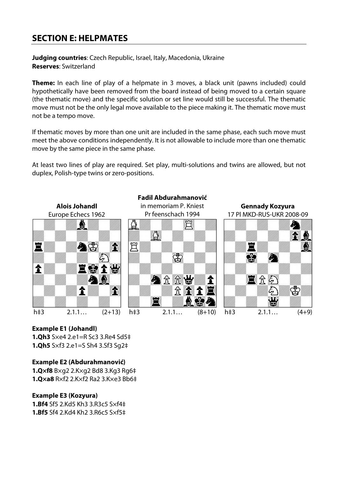## **SECTION E: HELPMATES**

**Judging countries**: Czech Republic, Israel, Italy, Macedonia, Ukraine **Reserves**: Switzerland

**Theme:** In each line of play of a helpmate in 3 moves, a black unit (pawns included) could hypothetically have been removed from the board instead of being moved to a certain square (the thematic move) and the specific solution or set line would still be successful. The thematic move must not be the only legal move available to the piece making it. The thematic move must not be a tempo move.

If thematic moves by more than one unit are included in the same phase, each such move must meet the above conditions independently. It is not allowable to include more than one thematic move by the same piece in the same phase.

At least two lines of play are required. Set play, multi-solutions and twins are allowed, but not duplex, Polish-type twins or zero-positions.



#### **Example E1 (Johandl)**

**1.Qh3** S×e4 2.e1=R Sc3 3.Re4 Sd5‡ **1.Qh5** S×f3 2.e1=S Sh4 3.Sf3 Sg2‡

#### **Example E2 (Abdurahmanović)**

**1.Q×f8** B×g2 2.K×g2 Bd8 3.Kg3 Rg6‡ **1.Q×a8** R×f2 2.K×f2 Ra2 3.K×e3 Bb6‡

#### **Example E3 (Kozyura)**

**1.Bf4** Sf5 2.Kd5 Kh3 3.R3c5 S×f4‡ **1.Bf5** Sf4 2.Kd4 Kh2 3.R6c5 S×f5‡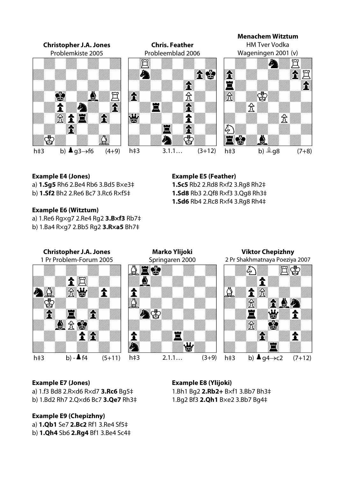

#### **Example E4 (Jones)**

a) **1.Sg5** Rh6 2.Be4 Rb6 3.Bd5 B×e3‡

b) **1.Sf2** Bh2 2.Re6 Bc7 3.Rc6 R×f5‡

#### **Example E6 (Witztum)**

a) 1.Re6 Rg×g7 2.Re4 Rg2 **3.B×f3** Rb7‡

b) 1.Ba4 R×g7 2.Bb5 Rg2 **3.R×a5** Bh7‡

#### **Example E5 (Feather)**

**1.Sc5** Rb2 2.Rd8 R×f2 3.Rg8 Rh2‡ **1.Sd8** Rb3 2.Qf8 R×f3 3.Qg8 Rh3‡ **1.Sd6** Rb4 2.Rc8 R×f4 3.Rg8 Rh4‡



#### **Example E7 (Jones)**

a) 1.f3 Bd8 2.R×d6 R×d7 **3.Rc6** Bg5‡ b) 1.Bd2 Rh7 2.Q×d6 Bc7 **3.Qe7** Rh3‡

#### **Example E9 (Chepizhny)**

a) **1.Qb1** Se7 **2.Bc2** Rf1 3.Re4 Sf5‡

b) **1.Qh4** Sb6 **2.Rg4** Bf1 3.Be4 Sc4‡

**Example E8 (Ylijoki)** 1.Bh1 Bg2 **2.Rb2+** B×f1 3.Bb7 Bh3‡ 1.Bg2 Bf3 **2.Qh1** B×e2 3.Bb7 Bg4‡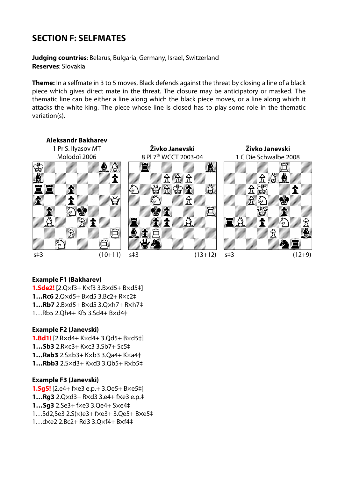## **SECTION F: SELFMATES**

**Judging countries**: Belarus, Bulgaria, Germany, Israel, Switzerland **Reserves**: Slovakia

**Theme:** In a selfmate in 3 to 5 moves, Black defends against the threat by closing a line of a black piece which gives direct mate in the threat. The closure may be anticipatory or masked. The thematic line can be either a line along which the black piece moves, or a line along which it attacks the white king. The piece whose line is closed has to play some role in the thematic variation(s).



#### **Example F1 (Bakharev)**

**1.Sde2!** [2.Q×f3+ K×f3 3.B×d5+ B×d5‡] **1…Rc6** 2.Q×d5+ B×d5 3.Bc2+ R×c2‡ **1…Rb7** 2.B×d5+ B×d5 3.Q×h7+ R×h7‡ 1…Rb5 2.Qh4+ Kf5 3.Sd4+ B×d4‡

#### **Example F2 (Janevski)**

**1.Bd1!** [2.R×d4+ K×d4+ 3.Qd5+ B×d5‡] **1…Sb3** 2.R×c3+ K×c3 3.Sb7+ Sc5‡ **1…Rab3** 2.S×b3+ K×b3 3.Qa4+ K×a4‡ **1…Rbb3** 2.S×d3+ K×d3 3.Qb5+ R×b5‡

#### **Example F3 (Janevski)**

**1.Sg5!** [2.e4+ f×e3 e.p.+ 3.Qe5+ B×e5‡] **1…Rg3** 2.Q×d3+ R×d3 3.e4+ f×e3 e.p.‡ **1…Sg3** 2.Se3+ f×e3 3.Qe4+ S×e4‡ 1…Sd2,Se3 2.S(×)e3+ f×e3+ 3.Qe5+ B×e5‡ 1…d×e2 2.Bc2+ Rd3 3.Q×f4+ B×f4‡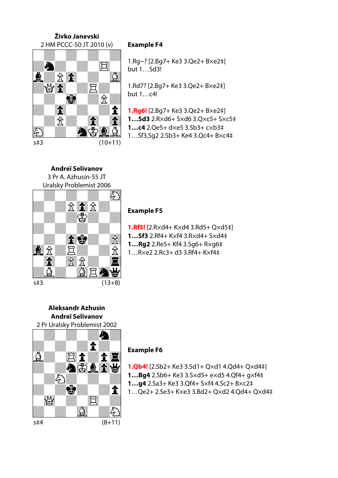#### **Živko Janevski** 2 HM PCCC-50 JT 2010 (v) **Example F4**



1.Rg~? [2.Bg7+ Ke3 3.Qe2+ B×e2‡] but 1…Sd3!

1.Rd7? [2.Bg7+ Ke3 3.Qe2+ B×e2‡] but 1…c4!

**1.Rg6!** [2.Bg7+ Ke3 3.Qe2+ B×e2‡] **1…Sd3** 2.R×d6+ S×d6 3.Q×c5+ S×c5‡ **1…c4** 2.Qe5+ d×e5 3.Sb3+ c×b3‡ 1…Sf3,Sg2 2.Sb3+ Ke4 3.Qc4+ B×c4‡

**Andreï Selivanov** 3 Pr A. Azhusin-55 JT Uralsky Problemist 2006



#### **Example F5**

**1.Rf5!** [2.R×d4+ K×d4 3.Rd5+ Q×d5‡] **1…Sf3** 2.Rf4+ K×f4 3.R×d4+ S×d4‡ **1…Rg2** 2.Re5+ Kf4 3.Sg6+ R×g6‡ 1…R×e2 2.Rc3+ d3 3.Rf4+ K×f4‡

**Aleksandr Azhusin Andreï Selivanov** 2 Pr Uralsky Problemist 2002



#### **Example F6**

**1.Qb4!** [2.Sb2+ Ke3 3.Sd1+ Q×d1 4.Qd4+ Q×d4‡] **1…Bg4** 2.Sb6+ Ke3 3.S×d5+ e×d5 4.Qf4+ g×f4‡ **1…g4** 2.Sa3+ Ke3 3.Qf4+ S×f4 4.Sc2+ B×c2‡ 1…Qe2+ 2.Se3+ K×e3 3.Bd2+ Q×d2 4.Qd4+ Q×d4‡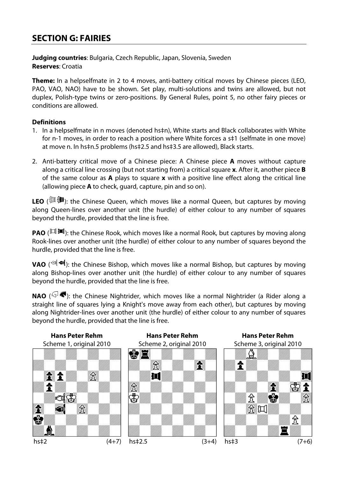## **SECTION G: FAIRIES**

**Judging countries**: Bulgaria, Czech Republic, Japan, Slovenia, Sweden **Reserves**: Croatia

**Theme:** In a helpselfmate in 2 to 4 moves, anti-battery critical moves by Chinese pieces (LEO, PAO, VAO, NAO) have to be shown. Set play, multi-solutions and twins are allowed, but not duplex, Polish-type twins or zero-positions. By General Rules, point 5, no other fairy pieces or conditions are allowed.

#### **Definitions**

- 1. In a helpselfmate in n moves (denoted hs‡n), White starts and Black collaborates with White for n-1 moves, in order to reach a position where White forces a s‡1 (selfmate in one move) at move n. In hs‡n.5 problems (hs‡2.5 and hs‡3.5 are allowed), Black starts.
- 2. Anti-battery critical move of a Chinese piece: A Chinese piece **A** moves without capture along a critical line crossing (but not starting from) a critical square **x**. After it, another piece **B** of the same colour as **A** plays to square **x** with a positive line effect along the critical line (allowing piece **A** to check, guard, capture, pin and so on).

LEO ( $\mathbb{P}(\mathbb{R})$ : the Chinese Queen, which moves like a normal Queen, but captures by moving along Queen-lines over another unit (the hurdle) of either colour to any number of squares beyond the hurdle, provided that the line is free.

**PAO** ( $\mathbb{H}$   $\mathbb{H}$ ): the Chinese Rook, which moves like a normal Rook, but captures by moving along Rook-lines over another unit (the hurdle) of either colour to any number of squares beyond the hurdle, provided that the line is free.

**VAO** ( $\sqrt{20}$   $\sqrt{40}$ ): the Chinese Bishop, which moves like a normal Bishop, but captures by moving along Bishop-lines over another unit (the hurdle) of either colour to any number of squares beyond the hurdle, provided that the line is free.

**NAO** ( $\mathbb{S}$  **)**: the Chinese Nightrider, which moves like a normal Nightrider (a Rider along a straight line of squares lying a Knight's move away from each other), but captures by moving along Nightrider-lines over another unit (the hurdle) of either colour to any number of squares beyond the hurdle, provided that the line is free.